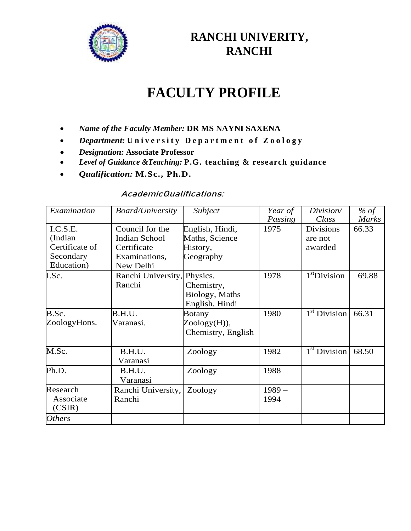

## **RANCHI UNIVERITY, RANCHI**

# **FACULTY PROFILE**

- *Name of the Faculty Member:* **DR MS NAYNI SAXENA**
- *Department:* **U n i v e r s i t y D e p a r t m e n t o f Z o o l o g y**
- *Designation:* **Associate Professor**
- *Level of Guidance &Teaching:* **P.G. teaching & research guidance**
- *Qualification:* **M.Sc., Ph.D.**

### **AcademicQualifications:**

| Examination    | <b>Board/University</b> | Subject            | Year of | Division/                | % of         |
|----------------|-------------------------|--------------------|---------|--------------------------|--------------|
|                |                         |                    | Passing | Class                    | <b>Marks</b> |
| I.C.S.E.       | Council for the         | English, Hindi,    | 1975    | <b>Divisions</b>         | 66.33        |
| (Indian        | <b>Indian School</b>    | Maths, Science     |         | are not                  |              |
| Certificate of | Certificate             | History,           |         | awarded                  |              |
| Secondary      | Examinations,           | Geography          |         |                          |              |
| Education)     | New Delhi               |                    |         |                          |              |
| I.Sc.          | Ranchi University,      | Physics,           | 1978    | $1st$ Division           | 69.88        |
|                | Ranchi                  | Chemistry,         |         |                          |              |
|                |                         | Biology, Maths     |         |                          |              |
|                |                         | English, Hindi     |         |                          |              |
| B.Sc.          | B.H.U.                  | <b>Botany</b>      | 1980    | 1 <sup>st</sup> Division | 66.31        |
| ZoologyHons.   | Varanasi.               | Zoology(H)),       |         |                          |              |
|                |                         | Chemistry, English |         |                          |              |
|                |                         |                    |         |                          |              |
| M.Sc.          | B.H.U.                  | Zoology            | 1982    | $1st$ Division           | 68.50        |
|                | Varanasi                |                    |         |                          |              |
| Ph.D.          | B.H.U.                  | Zoology            | 1988    |                          |              |
|                | Varanasi                |                    |         |                          |              |
| Research       | Ranchi University,      | Zoology            | $1989-$ |                          |              |
| Associate      | Ranchi                  |                    | 1994    |                          |              |
| (CSIR)         |                         |                    |         |                          |              |
| <b>Others</b>  |                         |                    |         |                          |              |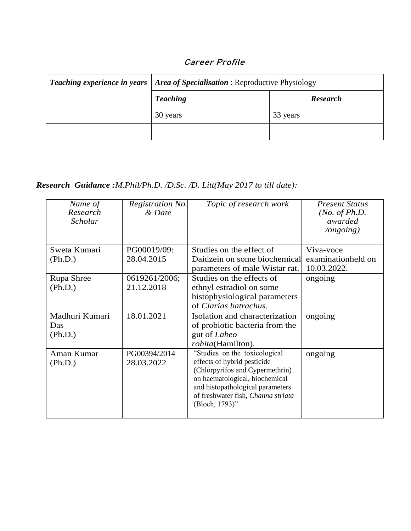| Career Profile |  |
|----------------|--|
|----------------|--|

| <b>Teaching experience in years   Area of Specialisation: Reproductive Physiology</b> |                 |  |
|---------------------------------------------------------------------------------------|-----------------|--|
| <b>Teaching</b>                                                                       | <b>Research</b> |  |
| 30 years                                                                              | 33 years        |  |
|                                                                                       |                 |  |

## *Research Guidance :M.Phil/Ph.D. /D.Sc. /D. Litt(May 2017 to till date):*

| Name of<br>Research<br>Scholar   | Registration No.<br>& Date | Topic of research work                                                                                                                                                                                                        | <b>Present Status</b><br>( <i>No. of Ph.D.</i><br>awarded<br>$\log$ ongoing) |
|----------------------------------|----------------------------|-------------------------------------------------------------------------------------------------------------------------------------------------------------------------------------------------------------------------------|------------------------------------------------------------------------------|
| Sweta Kumari                     | PG00019/09:                | Studies on the effect of                                                                                                                                                                                                      | Viva-voce                                                                    |
| (Ph.D.)                          | 28.04.2015                 | Daidzein on some biochemical<br>parameters of male Wistar rat.                                                                                                                                                                | examinationheld on<br>10.03.2022.                                            |
| Rupa Shree                       | 0619261/2006;              | Studies on the effects of                                                                                                                                                                                                     | ongoing                                                                      |
| (Ph.D.)                          | 21.12.2018                 | ethnyl estradiol on some<br>histophysiological parameters<br>of Clarias batrachus.                                                                                                                                            |                                                                              |
| Madhuri Kumari<br>Das<br>(Ph.D.) | 18.01.2021                 | Isolation and characterization<br>of probiotic bacteria from the<br>gut of Labeo<br>rohita(Hamilton).                                                                                                                         | ongoing                                                                      |
| Aman Kumar<br>(Ph.D.)            | PG00394/2014<br>28.03.2022 | "Studies on the toxicological<br>effects of hybrid pesticide<br>(Chlorpyrifos and Cypermethrin)<br>on haematological, biochemical<br>and histopathological parameters<br>of freshwater fish, Channa striata<br>(Bloch, 1793)" | ongoing                                                                      |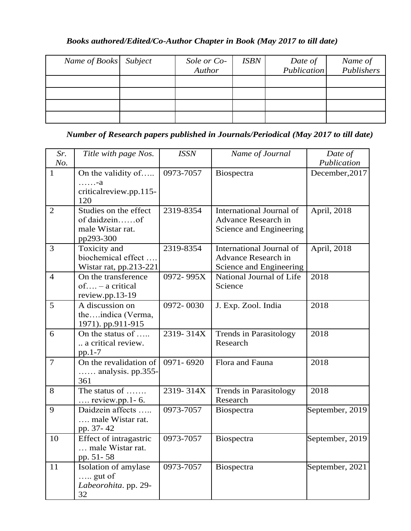#### *Books authored/Edited/Co-Author Chapter in Book (May 2017 to till date)*

| Name of Books Subject | Sole or Co- | <b>ISBN</b> | Date of     | Name of    |
|-----------------------|-------------|-------------|-------------|------------|
|                       | Author      |             | Publication | Publishers |
|                       |             |             |             |            |
|                       |             |             |             |            |
|                       |             |             |             |            |
|                       |             |             |             |            |

*Number of Research papers published in Journals/Periodical (May 2017 to till date)*

| Sr.<br>No.     | Title with page Nos.                                                    | <b>ISSN</b>   | Name of Journal                                                                   | Date of<br>Publication |
|----------------|-------------------------------------------------------------------------|---------------|-----------------------------------------------------------------------------------|------------------------|
| $\mathbf{1}$   | On the validity of<br>$\cdots$ $-a$<br>critical review.pp.115-<br>120   | 0973-7057     | Biospectra                                                                        | December, 2017         |
| 2              | Studies on the effect<br>of daidzeinof<br>male Wistar rat.<br>pp293-300 | 2319-8354     | International Journal of<br><b>Advance Research in</b><br>Science and Engineering | April, 2018            |
| 3              | Toxicity and<br>biochemical effect<br>Wistar rat, pp.213-221            | 2319-8354     | International Journal of<br>Advance Research in<br>Science and Engineering        | April, 2018            |
| $\overline{4}$ | On the transference<br>$of$ – a critical<br>review.pp.13-19             | 0972-995X     | National Journal of Life<br>Science                                               | 2018                   |
| 5              | A discussion on<br>theindica (Verma,<br>1971). pp.911-915               | 0972-0030     | J. Exp. Zool. India                                                               | 2018                   |
| 6              | On the status of<br>a critical review.<br>$pp.1-7$                      | 2319-314X     | Trends in Parasitology<br>Research                                                | 2018                   |
| $\overline{7}$ | On the revalidation of<br>$\ldots$ analysis. pp.355-<br>361             | 0971-6920     | Flora and Fauna                                                                   | 2018                   |
| 8              | The status of $\ldots$<br>$\ldots$ review.pp.1-6.                       | $2319 - 314X$ | <b>Trends in Parasitology</b><br>Research                                         | 2018                   |
| 9              | Daidzein affects<br>male Wistar rat.<br>pp. 37-42                       | 0973-7057     | Biospectra                                                                        | September, 2019        |
| 10             | Effect of intragastric<br>male Wistar rat.<br>pp. 51-58                 | 0973-7057     | Biospectra                                                                        | September, 2019        |
| 11             | Isolation of amylase<br>$\ldots$ gut of<br>Labeorohita. pp. 29-<br>32   | 0973-7057     | Biospectra                                                                        | September, 2021        |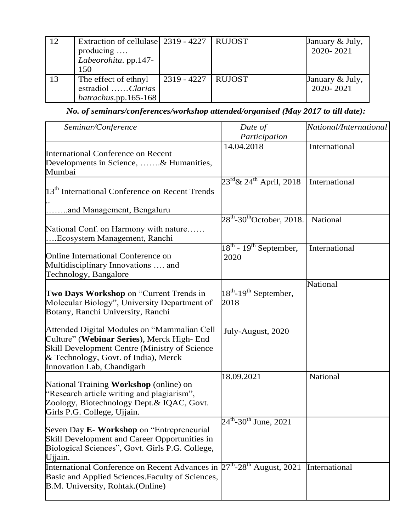| 12 | Extraction of cellulase 2319 - 4227   RUJOST<br>producing<br>Labeorohita. pp.147-<br>150 |                      | January & July,<br>2020-2021 |
|----|------------------------------------------------------------------------------------------|----------------------|------------------------------|
| 13 | The effect of ethnyl<br>estradiol Clarias<br>batrachus.pp.165-168                        | 2319 - 4227   RUJOST | January & July,<br>2020-2021 |

*No. of seminars/conferences/workshop attended/organised (May 2017 to till date):*

| Seminar/Conference                                                                                                                                                                                               | Date of<br>Participation                               | National/International |
|------------------------------------------------------------------------------------------------------------------------------------------------------------------------------------------------------------------|--------------------------------------------------------|------------------------|
| International Conference on Recent<br>Developments in Science, & Humanities,<br>Mumbai                                                                                                                           | 14.04.2018                                             | International          |
| 13 <sup>th</sup> International Conference on Recent Trends                                                                                                                                                       | $23^{\text{rd}}$ & $24^{\text{th}}$ April, 2018        | International          |
| and Management, Bengaluru                                                                                                                                                                                        |                                                        |                        |
| National Conf. on Harmony with nature<br>Ecosystem Management, Ranchi                                                                                                                                            | $28^{\text{th}}$ -30 <sup>th</sup> October, 2018.      | National               |
| Online International Conference on<br>Multidisciplinary Innovations  and<br>Technology, Bangalore                                                                                                                | $18^{\text{th}}$ - $19^{\text{th}}$ September,<br>2020 | International          |
| Two Days Workshop on "Current Trends in<br>Molecular Biology", University Department of<br>Botany, Ranchi University, Ranchi                                                                                     | $18^{th}$ -19 <sup>th</sup> September,<br>2018         | <b>National</b>        |
| Attended Digital Modules on "Mammalian Cell<br>Culture" (Webinar Series), Merck High- End<br>Skill Development Centre (Ministry of Science<br>& Technology, Govt. of India), Merck<br>Innovation Lab, Chandigarh | July-August, 2020                                      |                        |
| National Training Workshop (online) on<br>"Research article writing and plagiarism",<br>Zoology, Biotechnology Dept.& IQAC, Govt.<br>Girls P.G. College, Ujjain.                                                 | 18.09.2021                                             | National               |
| Seven Day E- Workshop on "Entrepreneurial"<br>Skill Development and Career Opportunities in<br>Biological Sciences", Govt. Girls P.G. College,<br>Ujjain.                                                        | $24^{\text{th}}$ -30 <sup>th</sup> June, 2021          |                        |
| International Conference on Recent Advances in $27^{th}$ -28 <sup>th</sup> August, 2021<br>Basic and Applied Sciences. Faculty of Sciences,<br>B.M. University, Rohtak. (Online)                                 |                                                        | International          |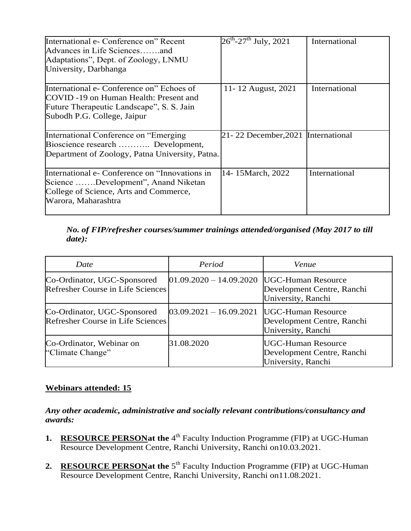| International e- Conference on" Recent<br>Advances in Life Sciencesand<br>Adaptations", Dept. of Zoology, LNMU<br>University, Darbhanga                         | $26^{\text{th}}$ -27 <sup>th</sup> July, 2021 | International |
|-----------------------------------------------------------------------------------------------------------------------------------------------------------------|-----------------------------------------------|---------------|
| International e- Conference on" Echoes of<br>COVID -19 on Human Health: Present and<br>Future Therapeutic Landscape", S. S. Jain<br>Subodh P.G. College, Jaipur | 11-12 August, 2021                            | International |
| International Conference on "Emerging"<br>Bioscience research  Development,<br>Department of Zoology, Patna University, Patna.                                  | 21-22 December, 2021                          | International |
| International e- Conference on "Innovations in<br>Science Development", Anand Niketan<br>College of Science, Arts and Commerce,<br>Warora, Maharashtra          | 14-15 March, 2022                             | International |

#### *No. of FIP/refresher courses/summer trainings attended/organised (May 2017 to till date):*

| Date                                                             | Period                    | Venue                                                                         |
|------------------------------------------------------------------|---------------------------|-------------------------------------------------------------------------------|
| Co-Ordinator, UGC-Sponsored<br>Refresher Course in Life Sciences | $01.09.2020 - 14.09.2020$ | <b>UGC-Human Resource</b><br>Development Centre, Ranchi<br>University, Ranchi |
| Co-Ordinator, UGC-Sponsored<br>Refresher Course in Life Sciences | $03.09.2021 - 16.09.2021$ | <b>UGC-Human Resource</b><br>Development Centre, Ranchi<br>University, Ranchi |
| Co-Ordinator, Webinar on<br>"Climate Change"                     | 31.08.2020                | <b>UGC-Human Resource</b><br>Development Centre, Ranchi<br>University, Ranchi |

#### **Webinars attended: 15**

*Any other academic, administrative and socially relevant contributions/consultancy and awards:*

- **1.** RESOURCE PERSONat the 4<sup>th</sup> Faculty Induction Programme (FIP) at UGC-Human Resource Development Centre, Ranchi University, Ranchi on10.03.2021.
- **2.** RESOURCE PERSONat the 5<sup>th</sup> Faculty Induction Programme (FIP) at UGC-Human Resource Development Centre, Ranchi University, Ranchi on11.08.2021.